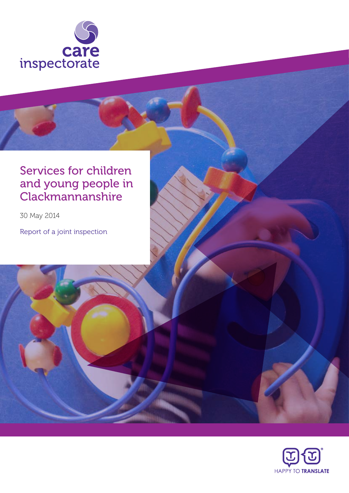

## Services for children and young people in **Clackmannanshire**

30 May 2014

Report of a joint inspection

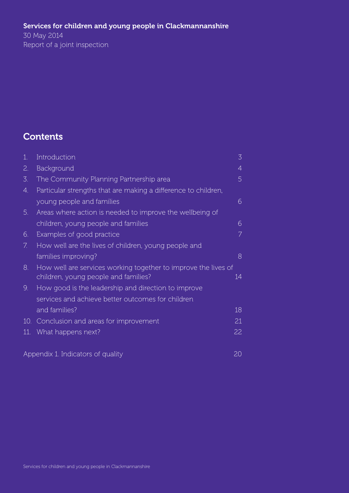### Services for children and young people in Clackmannanshire

30 May 2014 Report of a joint inspection

## **Contents**

| $\mathbf{1}$ .                          | Introduction                                                   | 3  |
|-----------------------------------------|----------------------------------------------------------------|----|
| 2.                                      | Background                                                     | 4  |
| 3.                                      | The Community Planning Partnership area                        | 5  |
| 4.                                      | Particular strengths that are making a difference to children, |    |
|                                         | young people and families                                      | 6  |
| 5.                                      | Areas where action is needed to improve the wellbeing of       |    |
|                                         | children, young people and families                            | 6  |
| 6.                                      | Examples of good practice                                      | 7  |
| 7.                                      | How well are the lives of children, young people and           |    |
|                                         | families improving?                                            | 8  |
| 8.                                      | How well are services working together to improve the lives of |    |
|                                         | children, young people and families?                           | 14 |
| 9.                                      | How good is the leadership and direction to improve            |    |
|                                         | services and achieve better outcomes for children              |    |
|                                         | and families?                                                  | 18 |
| 10.                                     | Conclusion and areas for improvement                           | 21 |
|                                         | 11. What happens next?                                         | 22 |
|                                         |                                                                |    |
| Appendix 1. Indicators of quality<br>20 |                                                                |    |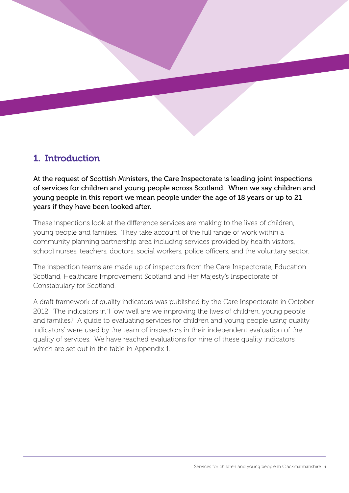

At the request of Scottish Ministers, the Care Inspectorate is leading joint inspections of services for children and young people across Scotland. When we say children and young people in this report we mean people under the age of 18 years or up to 21 years if they have been looked after.

These inspections look at the difference services are making to the lives of children, young people and families. They take account of the full range of work within a community planning partnership area including services provided by health visitors, school nurses, teachers, doctors, social workers, police officers, and the voluntary sector.

The inspection teams are made up of inspectors from the Care Inspectorate, Education Scotland, Healthcare Improvement Scotland and Her Majesty's Inspectorate of Constabulary for Scotland.

A draft framework of quality indicators was published by the Care Inspectorate in October 2012. The indicators in 'How well are we improving the lives of children, young people and families? A guide to evaluating services for children and young people using quality indicators' were used by the team of inspectors in their independent evaluation of the quality of services. We have reached evaluations for nine of these quality indicators which are set out in the table in Appendix 1.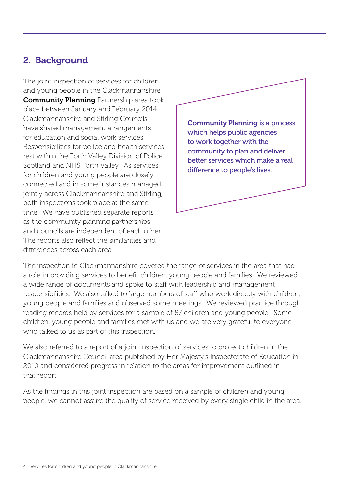## 2. Background

The joint inspection of services for children and young people in the Clackmannanshire **Community Planning Partnership area took** place between January and February 2014. Clackmannanshire and Stirling Councils have shared management arrangements for education and social work services. Responsibilities for police and health services rest within the Forth Valley Division of Police Scotland and NHS Forth Valley. As services for children and young people are closely connected and in some instances managed jointly across Clackmannanshire and Stirling, both inspections took place at the same time. We have published separate reports as the community planning partnerships and councils are independent of each other. The reports also reflect the similarities and differences across each area.



The inspection in Clackmannanshire covered the range of services in the area that had a role in providing services to benefit children, young people and families. We reviewed a wide range of documents and spoke to staff with leadership and management responsibilities. We also talked to large numbers of staff who work directly with children, young people and families and observed some meetings. We reviewed practice through reading records held by services for a sample of 87 children and young people. Some children, young people and families met with us and we are very grateful to everyone who talked to us as part of this inspection.

We also referred to a report of a joint inspection of services to protect children in the Clackmannanshire Council area published by Her Majesty's Inspectorate of Education in 2010 and considered progress in relation to the areas for improvement outlined in that report.

As the findings in this joint inspection are based on a sample of children and young people, we cannot assure the quality of service received by every single child in the area.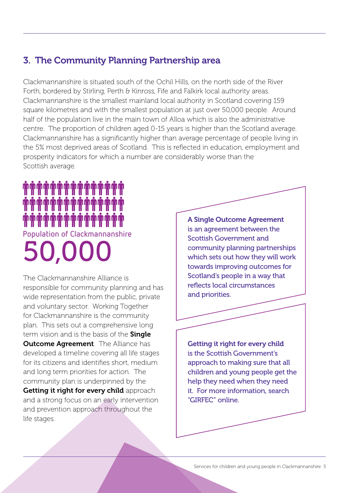## 3. The Community Planning Partnership area

Clackmannanshire is situated south of the Ochil Hills, on the north side of the River Forth, bordered by Stirling, Perth & Kinross, Fife and Falkirk local authority areas. Clackmannanshire is the smallest mainland local authority in Scotland covering 159 square kilometres and with the smallest population at just over 50,000 people. Around half of the population live in the main town of Alloa which is also the administrative centre. The proportion of children aged 0-15 years is higher than the Scotland average. Clackmannanshire has a significantly higher than average percentage of people living in the 5% most deprived areas of Scotland. This is reflected in education, employment and prosperity indicators for which a number are considerably worse than the Scottish average.

# 50,000 **Population of Clackmannanshire**

The Clackmannanshire Alliance is responsible for community planning and has wide representation from the public, private and voluntary sector. Working Together for Clackmannanshire is the community plan. This sets out a comprehensive long term vision and is the basis of the **Single Outcome Agreement**. The Alliance has developed a timeline covering all life stages for its citizens and identifies short, medium and long term priorities for action. The community plan is underpinned by the Getting it right for every child approach and a strong focus on an early intervention and prevention approach throughout the life stages.

A Single Outcome Agreement is an agreement between the Scottish Government and community planning partnerships which sets out how they will work towards improving outcomes for Scotland's people in a way that reflects local circumstances and priorities.

Getting it right for every child is the Scottish Government's approach to making sure that all children and young people get the help they need when they need it. For more information, search "GIRFEC" online.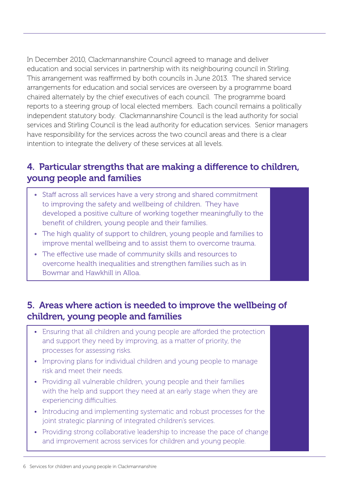In December 2010, Clackmannanshire Council agreed to manage and deliver education and social services in partnership with its neighbouring council in Stirling. This arrangement was reaffirmed by both councils in June 2013. The shared service arrangements for education and social services are overseen by a programme board chaired alternately by the chief executives of each council. The programme board reports to a steering group of local elected members. Each council remains a politically independent statutory body. Clackmannanshire Council is the lead authority for social services and Stirling Council is the lead authority for education services. Senior managers have responsibility for the services across the two council areas and there is a clear intention to integrate the delivery of these services at all levels.

## 4. Particular strengths that are making a difference to children, young people and families

- Staff across all services have a very strong and shared commitment to improving the safety and wellbeing of children. They have developed a positive culture of working together meaningfully to the benefit of children, young people and their families.
- The high quality of support to children, young people and families to improve mental wellbeing and to assist them to overcome trauma.
- The effective use made of community skills and resources to overcome health inequalities and strengthen families such as in Bowmar and Hawkhill in Alloa.

## 5. Areas where action is needed to improve the wellbeing of children, young people and families

- Ensuring that all children and young people are afforded the protection and support they need by improving, as a matter of priority, the processes for assessing risks.
- Improving plans for individual children and young people to manage risk and meet their needs.
- Providing all vulnerable children, young people and their families with the help and support they need at an early stage when they are experiencing difficulties.
- Introducing and implementing systematic and robust processes for the joint strategic planning of integrated children's services.
- Providing strong collaborative leadership to increase the pace of change and improvement across services for children and young people.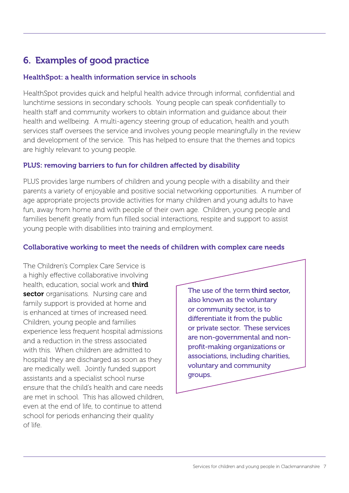## 6. Examples of good practice

#### HealthSpot: a health information service in schools

HealthSpot provides quick and helpful health advice through informal, confidential and lunchtime sessions in secondary schools. Young people can speak confidentially to health staff and community workers to obtain information and guidance about their health and wellbeing. A multi-agency steering group of education, health and youth services staff oversees the service and involves young people meaningfully in the review and development of the service. This has helped to ensure that the themes and topics are highly relevant to young people.

#### PLUS: removing barriers to fun for children affected by disability

PLUS provides large numbers of children and young people with a disability and their parents a variety of enjoyable and positive social networking opportunities. A number of age appropriate projects provide activities for many children and young adults to have fun, away from home and with people of their own age. Children, young people and families benefit greatly from fun filled social interactions, respite and support to assist young people with disabilities into training and employment.

#### Collaborative working to meet the needs of children with complex care needs

The Children's Complex Care Service is a highly effective collaborative involving health, education, social work and third sector organisations. Nursing care and family support is provided at home and is enhanced at times of increased need. Children, young people and families experience less frequent hospital admissions and a reduction in the stress associated with this. When children are admitted to hospital they are discharged as soon as they are medically well. Jointly funded support assistants and a specialist school nurse ensure that the child's health and care needs are met in school. This has allowed children, even at the end of life, to continue to attend school for periods enhancing their quality of life.

The use of the term third sector, also known as the voluntary or community sector, is to differentiate it from the public or private sector. These services are non-governmental and nonprofit-making organizations or associations, including charities, voluntary and community groups.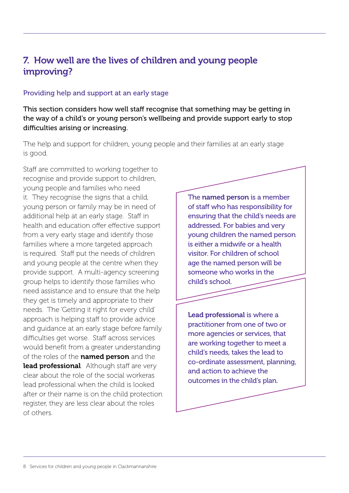## 7. How well are the lives of children and young people improving?

#### Providing help and support at an early stage

This section considers how well staff recognise that something may be getting in the way of a child's or young person's wellbeing and provide support early to stop difficulties arising or increasing.

The help and support for children, young people and their families at an early stage is good.

Staff are committed to working together to recognise and provide support to children, young people and families who need it. They recognise the signs that a child, young person or family may be in need of additional help at an early stage. Staff in health and education offer effective support from a very early stage and identify those families where a more targeted approach is required. Staff put the needs of children and young people at the centre when they provide support. A multi-agency screening group helps to identify those families who need assistance and to ensure that the help they get is timely and appropriate to their needs. The 'Getting it right for every child' approach is helping staff to provide advice and guidance at an early stage before family difficulties get worse. Staff across services would benefit from a greater understanding of the roles of the **named person** and the lead professional. Although staff are very clear about the role of the social workeras lead professional when the child is looked after or their name is on the child protection register, they are less clear about the roles of others.

The named person is a member of staff who has responsibility for ensuring that the child's needs are addressed. For babies and very young children the named person is either a midwife or a health visitor. For children of school age the named person will be someone who works in the child's school.

Lead professional is where a practitioner from one of two or more agencies or services, that are working together to meet a child's needs, takes the lead to co-ordinate assessment, planning, and action to achieve the outcomes in the child's plan.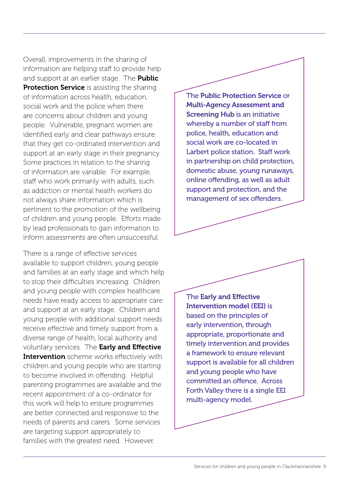Overall, improvements in the sharing of information are helping staff to provide help and support at an earlier stage. The **Public Protection Service** is assisting the sharing of information across health, education, social work and the police when there are concerns about children and young people. Vulnerable, pregnant women are identified early and clear pathways ensure that they get co-ordinated intervention and support at an early stage in their pregnancy. Some practices in relation to the sharing of information are variable. For example, staff who work primarily with adults, such as addiction or mental health workers do not always share information which is pertinent to the promotion of the wellbeing of children and young people. Efforts made by lead professionals to gain information to inform assessments are often unsuccessful.

There is a range of effective services available to support children, young people and families at an early stage and which help to stop their difficulties increasing. Children and young people with complex healthcare needs have ready access to appropriate care and support at an early stage. Children and young people with additional support needs receive effective and timely support from a diverse range of health, local authority and voluntary services. The Early and Effective **Intervention** scheme works effectively with children and young people who are starting to become involved in offending. Helpful parenting programmes are available and the recent appointment of a co-ordinator for this work will help to ensure programmes are better connected and responsive to the needs of parents and carers. Some services are targeting support appropriately to families with the greatest need. However,

The Public Protection Service or Multi-Agency Assessment and Screening Hub is an initiative whereby a number of staff from police, health, education and social work are co-located in Larbert police station. Staff work in partnership on child protection, domestic abuse, young runaways, online offending, as well as adult support and protection, and the management of sex offenders.

The Early and Effective Intervention model (EEI) is based on the principles of early intervention, through appropriate, proportionate and timely intervention and provides a framework to ensure relevant support is available for all children and young people who have committed an offence. Across Forth Valley there is a single EEI multi-agency model.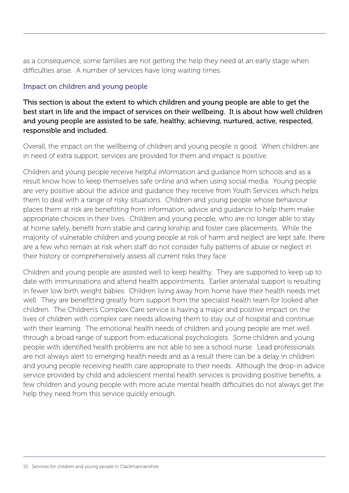as a consequence, some families are not getting the help they need at an early stage when difficulties arise. A number of services have long waiting times.

#### Impact on children and young people

This section is about the extent to which children and young people are able to get the best start in life and the impact of services on their wellbeing. It is about how well children and young people are assisted to be safe, healthy, achieving, nurtured, active, respected, responsible and included.

Overall, the impact on the wellbeing of children and young people is good. When children are in need of extra support, services are provided for them and impact is positive.

Children and young people receive helpful information and guidance from schools and as a result know how to keep themselves safe online and when using social media. Young people are very positive about the advice and guidance they receive from Youth Services which helps them to deal with a range of risky situations. Children and young people whose behaviour places them at risk are benefitting from information, advice and guidance to help them make appropriate choices in their lives. Children and young people, who are no longer able to stay at home safely, benefit from stable and caring kinship and foster care placements. While the majority of vulnerable children and young people at risk of harm and neglect are kept safe, there are a few who remain at risk when staff do not consider fully patterns of abuse or neglect in their history or comprehensively assess all current risks they face.

Children and young people are assisted well to keep healthy. They are supported to keep up to date with immunisations and attend health appointments. Earlier antenatal support is resulting in fewer low birth weight babies. Children living away from home have their health needs met well. They are benefitting greatly from support from the specialist health team for looked after children. The Children's Complex Care service is having a major and positive impact on the lives of children with complex care needs allowing them to stay out of hospital and continue with their learning. The emotional health needs of children and young people are met well through a broad range of support from educational psychologists. Some children and young people with identified health problems are not able to see a school nurse. Lead professionals are not always alert to emerging health needs and as a result there can be a delay in children and young people receiving health care appropriate to their needs. Although the drop-in advice service provided by child and adolescent mental health services is providing positive benefits, a few children and young people with more acute mental health difficulties do not always get the help they need from this service quickly enough.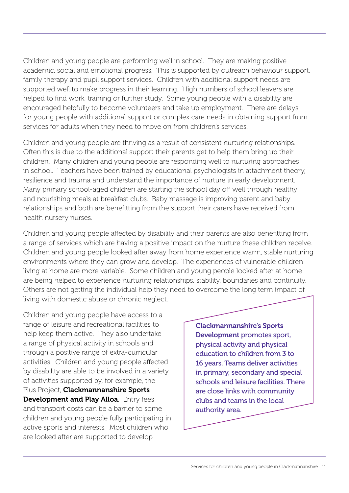Children and young people are performing well in school. They are making positive academic, social and emotional progress. This is supported by outreach behaviour support, family therapy and pupil support services. Children with additional support needs are supported well to make progress in their learning. High numbers of school leavers are helped to find work, training or further study. Some young people with a disability are encouraged helpfully to become volunteers and take up employment. There are delays for young people with additional support or complex care needs in obtaining support from services for adults when they need to move on from children's services.

Children and young people are thriving as a result of consistent nurturing relationships. Often this is due to the additional support their parents get to help them bring up their children. Many children and young people are responding well to nurturing approaches in school. Teachers have been trained by educational psychologists in attachment theory, resilience and trauma and understand the importance of nurture in early development. Many primary school-aged children are starting the school day off well through healthy and nourishing meals at breakfast clubs. Baby massage is improving parent and baby relationships and both are benefitting from the support their carers have received from health nursery nurses.

Children and young people affected by disability and their parents are also benefitting from a range of services which are having a positive impact on the nurture these children receive. Children and young people looked after away from home experience warm, stable nurturing environments where they can grow and develop. The experiences of vulnerable children living at home are more variable. Some children and young people looked after at home are being helped to experience nurturing relationships, stability, boundaries and continuity. Others are not getting the individual help they need to overcome the long term impact of living with domestic abuse or chronic neglect.

Children and young people have access to a range of leisure and recreational facilities to help keep them active. They also undertake a range of physical activity in schools and through a positive range of extra-curricular activities. Children and young people affected by disability are able to be involved in a variety of activities supported by, for example, the Plus Project, **Clackmannanshire Sports Development and Play Alloa.** Entry fees and transport costs can be a barrier to some children and young people fully participating in active sports and interests. Most children who are looked after are supported to develop

Clackmannanshire's Sports Development promotes sport, physical activity and physical education to children from 3 to 16 years. Teams deliver activities in primary, secondary and special schools and leisure facilities. There are close links with community clubs and teams in the local authority area.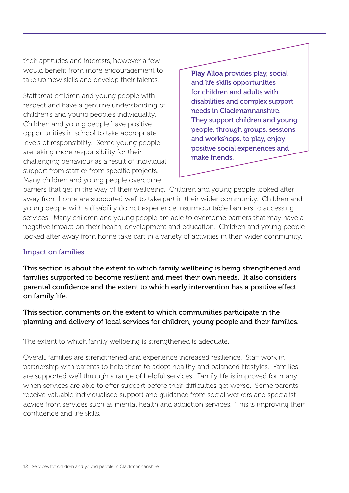their aptitudes and interests, however a few would benefit from more encouragement to take up new skills and develop their talents.

Staff treat children and young people with respect and have a genuine understanding of children's and young people's individuality. Children and young people have positive opportunities in school to take appropriate levels of responsibility. Some young people are taking more responsibility for their challenging behaviour as a result of individual support from staff or from specific projects. Many children and young people overcome

Play Alloa provides play, social and life skills opportunities for children and adults with disabilities and complex support needs in Clackmannanshire. They support children and young people, through groups, sessions and workshops, to play, enjoy positive social experiences and make friends.

barriers that get in the way of their wellbeing. Children and young people looked after away from home are supported well to take part in their wider community. Children and young people with a disability do not experience insurmountable barriers to accessing services. Many children and young people are able to overcome barriers that may have a negative impact on their health, development and education. Children and young people looked after away from home take part in a variety of activities in their wider community.

#### Impact on families

This section is about the extent to which family wellbeing is being strengthened and families supported to become resilient and meet their own needs. It also considers parental confidence and the extent to which early intervention has a positive effect on family life.

This section comments on the extent to which communities participate in the planning and delivery of local services for children, young people and their families.

The extent to which family wellbeing is strengthened is adequate.

Overall, families are strengthened and experience increased resilience. Staff work in partnership with parents to help them to adopt healthy and balanced lifestyles. Families are supported well through a range of helpful services. Family life is improved for many when services are able to offer support before their difficulties get worse. Some parents receive valuable individualised support and guidance from social workers and specialist advice from services such as mental health and addiction services. This is improving their confidence and life skills.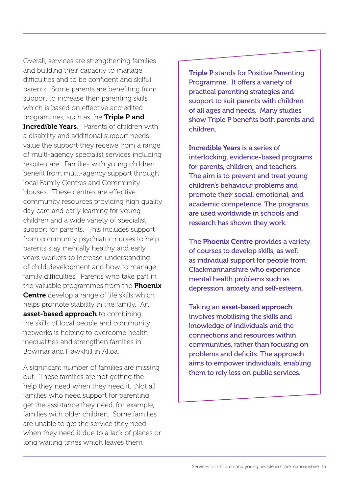Overall, services are strengthening families and building their capacity to manage difficulties and to be confident and skilful parents. Some parents are benefiting from support to increase their parenting skills which is based on effective accredited programmes, such as the **Triple P and Incredible Years**. Parents of children with a disability and additional support needs value the support they receive from a range of multi-agency specialist services including respite care. Families with young children benefit from multi-agency support through local Family Centres and Community Houses. These centres are effective community resources providing high quality day care and early learning for young children and a wide variety of specialist support for parents. This includes support from community psychiatric nurses to help parents stay mentally healthy and early years workers to increase understanding of child development and how to manage family difficulties. Parents who take part in the valuable programmes from the **Phoenix Centre** develop a range of life skills which helps promote stability in the family. An asset-based approach to combining the skills of local people and community networks is helping to overcome health inequalities and strengthen families in Bowmar and Hawkhill in Alloa.

A significant number of families are missing out. These families are not getting the help they need when they need it. Not all families who need support for parenting get the assistance they need, for example, families with older children. Some families are unable to get the service they need when they need it due to a lack of places or long waiting times which leaves them

Triple P stands for Positive Parenting Programme. It offers a variety of practical parenting strategies and support to suit parents with children of all ages and needs. Many studies show Triple P benefits both parents and children.

Incredible Years is a series of interlocking, evidence-based programs for parents, children, and teachers. The aim is to prevent and treat young children's behaviour problems and promote their social, emotional, and academic competence. The programs are used worldwide in schools and research has shown they work.

The Phoenix Centre provides a variety of courses to develop skills, as well as individual support for people from Clackmannanshire who experience mental health problems such as depression, anxiety and self-esteem.

Taking an asset-based approach involves mobilising the skills and knowledge of individuals and the connections and resources within communities, rather than focusing on problems and deficits. The approach aims to empower individuals, enabling them to rely less on public services.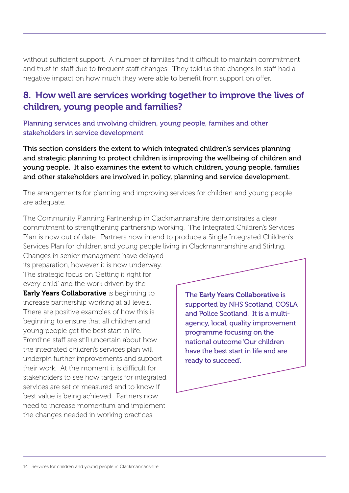without sufficient support. A number of families find it difficult to maintain commitment and trust in staff due to frequent staff changes. They told us that changes in staff had a negative impact on how much they were able to benefit from support on offer.

## 8. How well are services working together to improve the lives of children, young people and families?

Planning services and involving children, young people, families and other stakeholders in service development

This section considers the extent to which integrated children's services planning and strategic planning to protect children is improving the wellbeing of children and young people. It also examines the extent to which children, young people, families and other stakeholders are involved in policy, planning and service development.

The arrangements for planning and improving services for children and young people are adequate.

The Community Planning Partnership in Clackmannanshire demonstrates a clear commitment to strengthening partnership working. The Integrated Children's Services Plan is now out of date. Partners now intend to produce a Single Integrated Children's Services Plan for children and young people living in Clackmannanshire and Stirling.

Changes in senior managment have delayed its preparation, however it is now underway. The strategic focus on 'Getting it right for every child' and the work driven by the **Early Years Collaborative** is beginning to increase partnership working at all levels. There are positive examples of how this is beginning to ensure that all children and young people get the best start in life. Frontline staff are still uncertain about how the integrated children's services plan will underpin further improvements and support their work. At the moment it is difficult for stakeholders to see how targets for integrated services are set or measured and to know if best value is being achieved. Partners now need to increase momentum and implement the changes needed in working practices.

The Early Years Collaborative is supported by NHS Scotland, COSLA and Police Scotland. It is a multiagency, local, quality improvement programme focusing on the national outcome 'Our children have the best start in life and are ready to succeed'.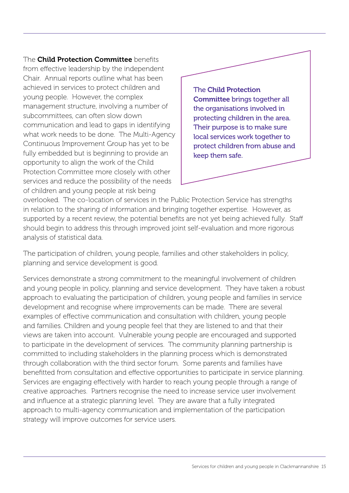The **Child Protection Committee** benefits from effective leadership by the independent Chair. Annual reports outline what has been achieved in services to protect children and young people. However, the complex management structure, involving a number of subcommittees, can often slow down communication and lead to gaps in identifying what work needs to be done. The Multi-Agency Continuous Improvement Group has yet to be fully embedded but is beginning to provide an opportunity to align the work of the Child Protection Committee more closely with other services and reduce the possibility of the needs of children and young people at risk being



overlooked. The co-location of services in the Public Protection Service has strengths in relation to the sharing of information and bringing together expertise. However, as supported by a recent review, the potential benefits are not yet being achieved fully. Staff should begin to address this through improved joint self-evaluation and more rigorous analysis of statistical data.

The participation of children, young people, families and other stakeholders in policy, planning and service development is good.

Services demonstrate a strong commitment to the meaningful involvement of children and young people in policy, planning and service development. They have taken a robust approach to evaluating the participation of children, young people and families in service development and recognise where improvements can be made. There are several examples of effective communication and consultation with children, young people and families. Children and young people feel that they are listened to and that their views are taken into account. Vulnerable young people are encouraged and supported to participate in the development of services. The community planning partnership is committed to including stakeholders in the planning process which is demonstrated through collaboration with the third sector forum. Some parents and families have benefitted from consultation and effective opportunities to participate in service planning. Services are engaging effectively with harder to reach young people through a range of creative approaches. Partners recognise the need to increase service user involvement and influence at a strategic planning level. They are aware that a fully integrated approach to multi-agency communication and implementation of the participation strategy will improve outcomes for service users.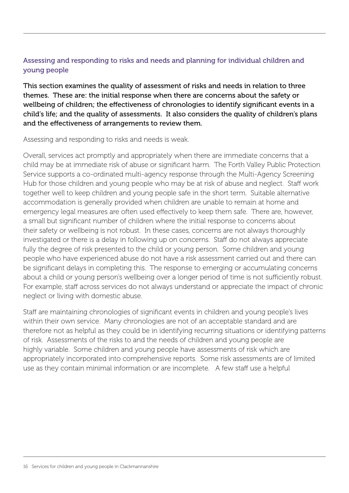#### Assessing and responding to risks and needs and planning for individual children and young people

This section examines the quality of assessment of risks and needs in relation to three themes. These are: the initial response when there are concerns about the safety or wellbeing of children; the effectiveness of chronologies to identify significant events in a child's life; and the quality of assessments. It also considers the quality of children's plans and the effectiveness of arrangements to review them.

Assessing and responding to risks and needs is weak.

Overall, services act promptly and appropriately when there are immediate concerns that a child may be at immediate risk of abuse or significant harm. The Forth Valley Public Protection Service supports a co-ordinated multi-agency response through the Multi-Agency Screening Hub for those children and young people who may be at risk of abuse and neglect. Staff work together well to keep children and young people safe in the short term. Suitable alternative accommodation is generally provided when children are unable to remain at home and emergency legal measures are often used effectively to keep them safe. There are, however, a small but significant number of children where the initial response to concerns about their safety or wellbeing is not robust. In these cases, concerns are not always thoroughly investigated or there is a delay in following up on concerns. Staff do not always appreciate fully the degree of risk presented to the child or young person. Some children and young people who have experienced abuse do not have a risk assessment carried out and there can be significant delays in completing this. The response to emerging or accumulating concerns about a child or young person's wellbeing over a longer period of time is not sufficiently robust. For example, staff across services do not always understand or appreciate the impact of chronic neglect or living with domestic abuse.

Staff are maintaining chronologies of significant events in children and young people's lives within their own service. Many chronologies are not of an acceptable standard and are therefore not as helpful as they could be in identifying recurring situations or identifying patterns of risk. Assessments of the risks to and the needs of children and young people are highly variable. Some children and young people have assessments of risk which are appropriately incorporated into comprehensive reports. Some risk assessments are of limited use as they contain minimal information or are incomplete. A few staff use a helpful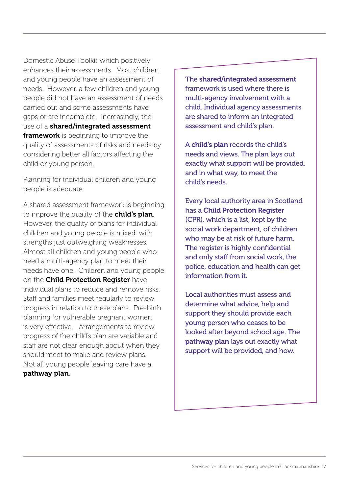Domestic Abuse Toolkit which positively enhances their assessments. Most children and young people have an assessment of needs. However, a few children and young people did not have an assessment of needs carried out and some assessments have gaps or are incomplete. Increasingly, the use of a **shared/integrated assessment framework** is beginning to improve the quality of assessments of risks and needs by considering better all factors affecting the child or young person.

Planning for individual children and young people is adequate.

A shared assessment framework is beginning to improve the quality of the **child's plan**. However, the quality of plans for individual children and young people is mixed, with strengths just outweighing weaknesses. Almost all children and young people who need a multi-agency plan to meet their needs have one. Children and young people on the Child Protection Register have individual plans to reduce and remove risks. Staff and families meet regularly to review progress in relation to these plans. Pre-birth planning for vulnerable pregnant women is very effective. Arrangements to review progress of the child's plan are variable and staff are not clear enough about when they should meet to make and review plans. Not all young people leaving care have a pathway plan.

The shared/integrated assessment framework is used where there is multi-agency involvement with a child. Individual agency assessments are shared to inform an integrated assessment and child's plan.

A child's plan records the child's needs and views. The plan lays out exactly what support will be provided, and in what way, to meet the child's needs.

Every local authority area in Scotland has a Child Protection Register (CPR), which is a list, kept by the social work department, of children who may be at risk of future harm. The register is highly confidential and only staff from social work, the police, education and health can get information from it.

Local authorities must assess and determine what advice, help and support they should provide each young person who ceases to be looked after beyond school age. The pathway plan lays out exactly what support will be provided, and how.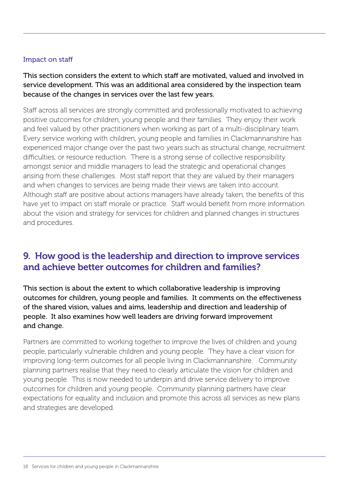#### Impact on staff

#### This section considers the extent to which staff are motivated, valued and involved in service development. This was an additional area considered by the inspection team because of the changes in services over the last few years.

Staff across all services are strongly committed and professionally motivated to achieving positive outcomes for children, young people and their families. They enjoy their work and feel valued by other practitioners when working as part of a multi-disciplinary team. Every service working with children, young people and families in Clackmannanshire has experienced major change over the past two years such as structural change, recruitment difficulties, or resource reduction. There is a strong sense of collective responsibility amongst senior and middle managers to lead the strategic and operational changes arising from these challenges. Most staff report that they are valued by their managers and when changes to services are being made their views are taken into account. Although staff are positive about actions managers have already taken, the benefits of this have yet to impact on staff morale or practice. Staff would benefit from more information about the vision and strategy for services for children and planned changes in structures and procedures.

## 9. How good is the leadership and direction to improve services and achieve better outcomes for children and families?

This section is about the extent to which collaborative leadership is improving outcomes for children, young people and families. It comments on the effectiveness of the shared vision, values and aims, leadership and direction and leadership of people. It also examines how well leaders are driving forward improvement and change.

Partners are committed to working together to improve the lives of children and young people, particularly vulnerable children and young people. They have a clear vision for improving long-term outcomes for all people living in Clackmannanshire. Community planning partners realise that they need to clearly articulate the vision for children and young people. This is now needed to underpin and drive service delivery to improve outcomes for children and young people. Community planning partners have clear expectations for equality and inclusion and promote this across all services as new plans and strategies are developed.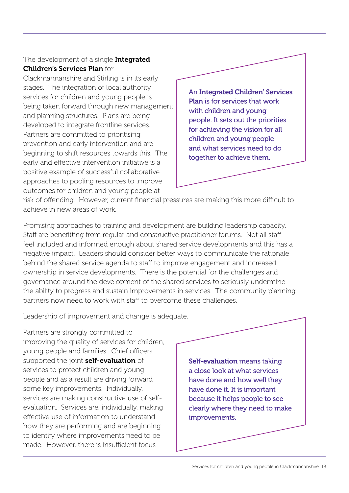#### The development of a single Integrated Children's Services Plan for

Clackmannanshire and Stirling is in its early stages. The integration of local authority services for children and young people is being taken forward through new management and planning structures. Plans are being developed to integrate frontline services. Partners are committed to prioritising prevention and early intervention and are beginning to shift resources towards this. The early and effective intervention initiative is a positive example of successful collaborative approaches to pooling resources to improve outcomes for children and young people at

An Integrated Children' Services Plan is for services that work with children and young people. It sets out the priorities for achieving the vision for all children and young people and what services need to do together to achieve them.

risk of offending. However, current financial pressures are making this more difficult to achieve in new areas of work.

Promising approaches to training and development are building leadership capacity. Staff are benefitting from regular and constructive practitioner forums. Not all staff feel included and informed enough about shared service developments and this has a negative impact. Leaders should consider better ways to communicate the rationale behind the shared service agenda to staff to improve engagement and increased ownership in service developments. There is the potential for the challenges and governance around the development of the shared services to seriously undermine the ability to progress and sustain improvements in services. The community planning partners now need to work with staff to overcome these challenges.

Leadership of improvement and change is adequate.

Partners are strongly committed to improving the quality of services for children, young people and families. Chief officers supported the joint self-evaluation of services to protect children and young people and as a result are driving forward some key improvements. Individually, services are making constructive use of selfevaluation. Services are, individually, making effective use of information to understand how they are performing and are beginning to identify where improvements need to be made. However, there is insufficient focus

Self-evaluation means taking a close look at what services have done and how well they have done it. It is important because it helps people to see clearly where they need to make improvements.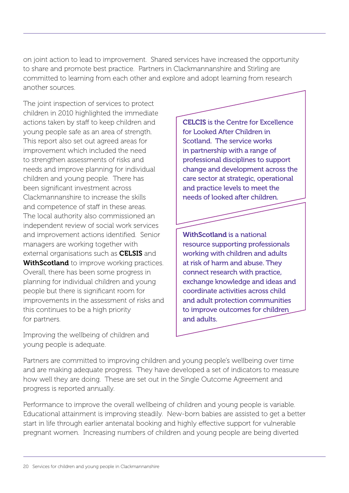on joint action to lead to improvement. Shared services have increased the opportunity to share and promote best practice. Partners in Clackmannanshire and Stirling are committed to learning from each other and explore and adopt learning from research another sources.

The joint inspection of services to protect children in 2010 highlighted the immediate actions taken by staff to keep children and young people safe as an area of strength. This report also set out agreed areas for improvement which included the need to strengthen assessments of risks and needs and improve planning for individual children and young people. There has been significant investment across Clackmannanshire to increase the skills and competence of staff in these areas. The local authority also commissioned an independent review of social work services and improvement actions identified. Senior managers are working together with external organisations such as **CELSIS** and **WithScotland** to improve working practices. Overall, there has been some progress in planning for individual children and young people but there is significant room for improvements in the assessment of risks and this continues to be a high priority for partners.

Improving the wellbeing of children and young people is adequate.

CELCIS is the Centre for Excellence for Looked After Children in Scotland. The service works in partnership with a range of professional disciplines to support change and development across the care sector at strategic, operational and practice levels to meet the needs of looked after children.

WithScotland is a national resource supporting professionals working with children and adults at risk of harm and abuse. They connect research with practice, exchange knowledge and ideas and coordinate activities across child and adult protection communities to improve outcomes for children and adults.

Partners are committed to improving children and young people's wellbeing over time and are making adequate progress. They have developed a set of indicators to measure how well they are doing. These are set out in the Single Outcome Agreement and progress is reported annually.

Performance to improve the overall wellbeing of children and young people is variable. Educational attainment is improving steadily. New-born babies are assisted to get a better start in life through earlier antenatal booking and highly effective support for vulnerable pregnant women. Increasing numbers of children and young people are being diverted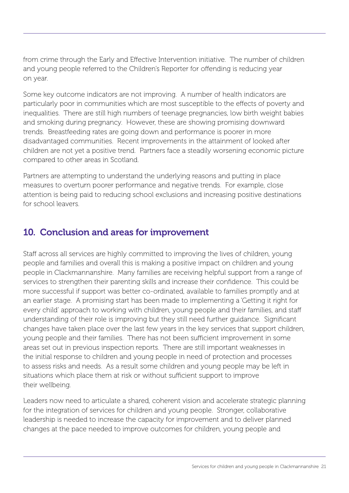from crime through the Early and Effective Intervention initiative. The number of children and young people referred to the Children's Reporter for offending is reducing year on year.

Some key outcome indicators are not improving. A number of health indicators are particularly poor in communities which are most susceptible to the effects of poverty and inequalities. There are still high numbers of teenage pregnancies, low birth weight babies and smoking during pregnancy. However, these are showing promising downward trends. Breastfeeding rates are going down and performance is poorer in more disadvantaged communities. Recent improvements in the attainment of looked after children are not yet a positive trend. Partners face a steadily worsening economic picture compared to other areas in Scotland.

Partners are attempting to understand the underlying reasons and putting in place measures to overturn poorer performance and negative trends. For example, close attention is being paid to reducing school exclusions and increasing positive destinations for school leavers.

## 10. Conclusion and areas for improvement

Staff across all services are highly committed to improving the lives of children, young people and families and overall this is making a positive impact on children and young people in Clackmannanshire. Many families are receiving helpful support from a range of services to strengthen their parenting skills and increase their confidence. This could be more successful if support was better co-ordinated, available to families promptly and at an earlier stage. A promising start has been made to implementing a 'Getting it right for every child' approach to working with children, young people and their families, and staff understanding of their role is improving but they still need further guidance. Significant changes have taken place over the last few years in the key services that support children, young people and their families. There has not been sufficient improvement in some areas set out in previous inspection reports. There are still important weaknesses in the initial response to children and young people in need of protection and processes to assess risks and needs. As a result some children and young people may be left in situations which place them at risk or without sufficient support to improve their wellbeing.

Leaders now need to articulate a shared, coherent vision and accelerate strategic planning for the integration of services for children and young people. Stronger, collaborative leadership is needed to increase the capacity for improvement and to deliver planned changes at the pace needed to improve outcomes for children, young people and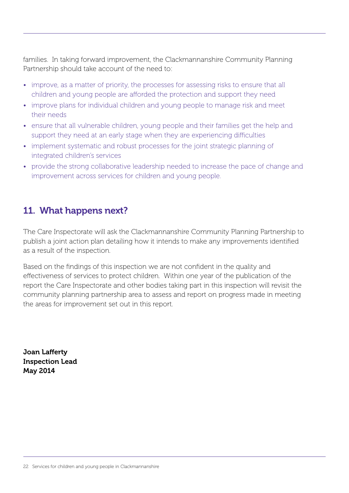families. In taking forward improvement, the Clackmannanshire Community Planning Partnership should take account of the need to:

- improve, as a matter of priority, the processes for assessing risks to ensure that all children and young people are afforded the protection and support they need
- improve plans for individual children and young people to manage risk and meet their needs
- ensure that all vulnerable children, young people and their families get the help and support they need at an early stage when they are experiencing difficulties
- implement systematic and robust processes for the joint strategic planning of integrated children's services
- provide the strong collaborative leadership needed to increase the pace of change and improvement across services for children and young people.

## 11. What happens next?

The Care Inspectorate will ask the Clackmannanshire Community Planning Partnership to publish a joint action plan detailing how it intends to make any improvements identified as a result of the inspection.

Based on the findings of this inspection we are not confident in the quality and effectiveness of services to protect children. Within one year of the publication of the report the Care Inspectorate and other bodies taking part in this inspection will revisit the community planning partnership area to assess and report on progress made in meeting the areas for improvement set out in this report.

Joan Lafferty Inspection Lead May 2014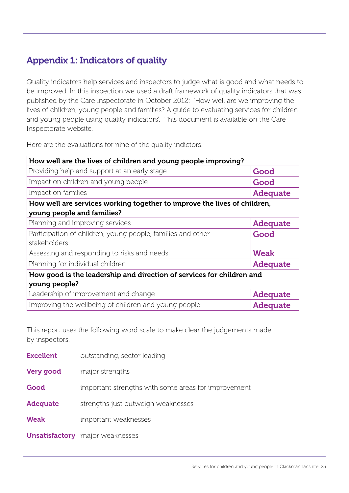## Appendix 1: Indicators of quality

Quality indicators help services and inspectors to judge what is good and what needs to be improved. In this inspection we used a draft framework of quality indicators that was published by the Care Inspectorate in October 2012: 'How well are we improving the lives of children, young people and families? A guide to evaluating services for children and young people using quality indicators'. This document is available on the Care Inspectorate website.

Here are the evaluations for nine of the quality indictors.

| How well are the lives of children and young people improving?           |                 |  |  |  |
|--------------------------------------------------------------------------|-----------------|--|--|--|
| Providing help and support at an early stage                             | Good            |  |  |  |
| Impact on children and young people                                      | Good            |  |  |  |
| Impact on families                                                       | <b>Adequate</b> |  |  |  |
| How well are services working together to improve the lives of children, |                 |  |  |  |
| young people and families?                                               |                 |  |  |  |
| Planning and improving services                                          | <b>Adequate</b> |  |  |  |
| Participation of children, young people, families and other              | Good            |  |  |  |
| stakeholders                                                             |                 |  |  |  |
| Assessing and responding to risks and needs                              | <b>Weak</b>     |  |  |  |
| Planning for individual children                                         | <b>Adequate</b> |  |  |  |
| How good is the leadership and direction of services for children and    |                 |  |  |  |
| young people?                                                            |                 |  |  |  |
| Leadership of improvement and change                                     | <b>Adequate</b> |  |  |  |
| Improving the wellbeing of children and young people<br><b>Adequate</b>  |                 |  |  |  |

This report uses the following word scale to make clear the judgements made by inspectors.

| <b>Excellent</b> | outstanding, sector leading                         |
|------------------|-----------------------------------------------------|
| <b>Very good</b> | major strengths                                     |
| Good             | important strengths with some areas for improvement |
| <b>Adequate</b>  | strengths just outweigh weaknesses                  |
| <b>Weak</b>      | important weaknesses                                |
|                  | <b>Unsatisfactory</b> major weaknesses              |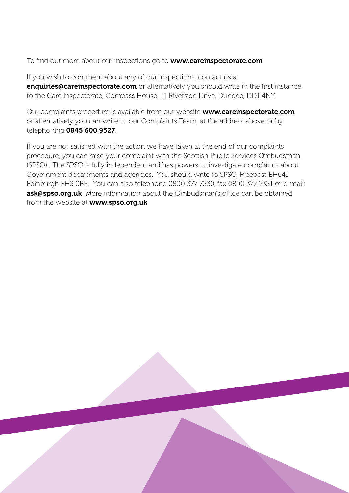To find out more about our inspections go to **www.careinspectorate.com** 

If you wish to comment about any of our inspections, contact us at enquiries@careinspectorate.com or alternatively you should write in the first instance to the Care Inspectorate, Compass House, 11 Riverside Drive, Dundee, DD1 4NY.

Our complaints procedure is available from our website **www.careinspectorate.com** or alternatively you can write to our Complaints Team, at the address above or by telephoning 0845 600 9527.

If you are not satisfied with the action we have taken at the end of our complaints procedure, you can raise your complaint with the Scottish Public Services Ombudsman (SPSO). The SPSO is fully independent and has powers to investigate complaints about Government departments and agencies. You should write to SPSO, Freepost EH641, Edinburgh EH3 0BR. You can also telephone 0800 377 7330, fax 0800 377 7331 or e-mail: ask@spso.org.uk More information about the Ombudsman's office can be obtained from the website at **www.spso.org.uk**